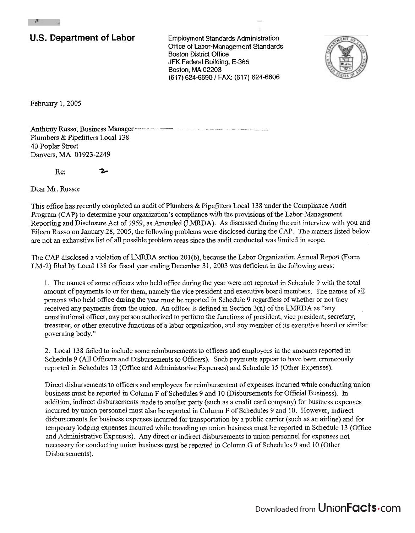## U.S. Department of Labor **Employment Standards Administration**

**Office of Labor-Management Standards Boston District Office** JFK Federal Building, E-365 Boston, **MA** 02203 (617) 624-6690 / FAX: (617) 624-6606



February 1,2005

 $\mathbf{r}$ 

Anthony Russo, Business Manager Plumbers & Pipefitters Local 138 40 Poplar Street Danvers, MA 01923-2249

Re: **Zc** 

Dear Mr. Russo:

This office has recently completed an audit of Plumbers & Pipefitters Local 138 under the Compliance Audit Program (CAP) to determine your organization's compliance with the provisions of the Labor-Management Reporting and Disclosure Act of 1959, as Amended (LMRDA). **As** discussed during the exit interview with you and Eileen Russo on January 28,2005, the following problems were disclosed during the CAP. The matters listed below are not an exhaustive list of all possible problem areas since the audit conducted was limited in scope.

The CAP disclosed a violation of LMRDA section 201(b), because the Labor Organization Annual Report (Form LM-2) filed by Local 138 for fiscal year ending December 31, 2003 was deficient in the following areas:

1. The names of some officers who held office during the year were not reported in Schedule 9 with the total amount of payments to or for them, namely the vice president and executive board members. The names of all persons who held office during the year must be reported in Schedule 9 regardless of whether or not they received any payments from the union. An officer is defined in Section  $3(n)$  of the LMRDA as "any constitutional officer, any person authorized to perform the functions of president, vice president, secretary, treasurer, or other executive functions of a labor orgaaization, and any aember of its executive board or sinilar governing body."

2. Local 138 failed to include some reimbursements to officers and employees in the amounts reported in Schedule 9 (All Officers and Disbursements to Officers). Such payments appear to have been erroneously reported in Schedules 13 (Office and Administrative Expenses) and Schedule I5 (Other Expenses).

Direct disbursements to oficers and employees for reimbursement of expenses incurred while conducting union business must be reported in Column F of Schedules 9 and 10 (Disbursements for Official Business). In addition, indirect disbursements made to another party (such as a credit card company) for business expenses incurred by union personnel must also be reported in Column F of Schedules 9 and 10. However, indirect disbursements for business expenses incurred for transportation by a public carrier (such as an airline) and for temporary lodging expenses incurred while traveling on union business must be reported in Schedule 13 (Office and Administrative Expenses). Any direct or indirect disbursements to union personnel for expenses not necessary for conducting union business must be reported in Column *G* of Schedules 9 and 10 (Other Disbursements).